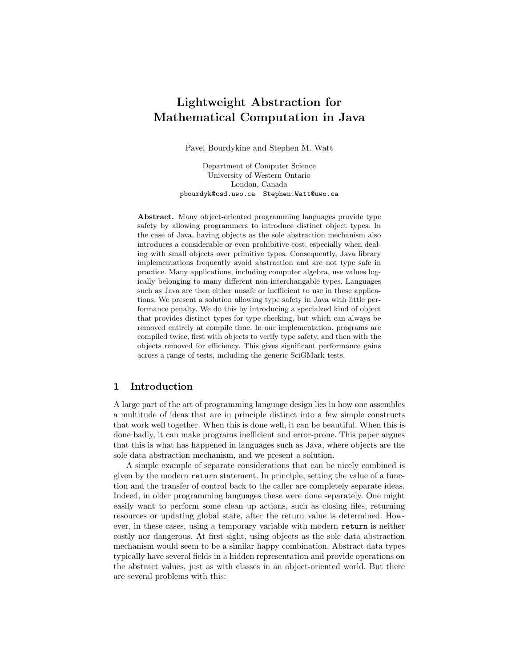# Lightweight Abstraction for Mathematical Computation in Java

Pavel Bourdykine and Stephen M. Watt

Department of Computer Science University of Western Ontario London, Canada pbourdyk@csd.uwo.ca Stephen.Watt@uwo.ca

Abstract. Many object-oriented programming languages provide type safety by allowing programmers to introduce distinct object types. In the case of Java, having objects as the sole abstraction mechanism also introduces a considerable or even prohibitive cost, especially when dealing with small objects over primitive types. Consequently, Java library implementations frequently avoid abstraction and are not type safe in practice. Many applications, including computer algebra, use values logically belonging to many different non-interchangable types. Languages such as Java are then either unsafe or inefficient to use in these applications. We present a solution allowing type safety in Java with little performance penalty. We do this by introducing a specialzed kind of object that provides distinct types for type checking, but which can always be removed entirely at compile time. In our implementation, programs are compiled twice, first with objects to verify type safety, and then with the objects removed for efficiency. This gives significant performance gains across a range of tests, including the generic SciGMark tests.

## 1 Introduction

A large part of the art of programming language design lies in how one assembles a multitude of ideas that are in principle distinct into a few simple constructs that work well together. When this is done well, it can be beautiful. When this is done badly, it can make programs inefficient and error-prone. This paper argues that this is what has happened in languages such as Java, where objects are the sole data abstraction mechanism, and we present a solution.

A simple example of separate considerations that can be nicely combined is given by the modern return statement. In principle, setting the value of a function and the transfer of control back to the caller are completely separate ideas. Indeed, in older programming languages these were done separately. One might easily want to perform some clean up actions, such as closing files, returning resources or updating global state, after the return value is determined. However, in these cases, using a temporary variable with modern return is neither costly nor dangerous. At first sight, using objects as the sole data abstraction mechanism would seem to be a similar happy combination. Abstract data types typically have several fields in a hidden representation and provide operations on the abstract values, just as with classes in an object-oriented world. But there are several problems with this: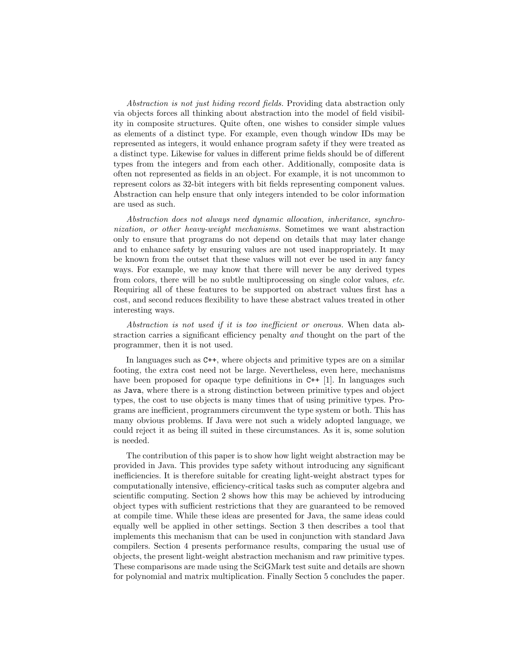Abstraction is not just hiding record fields. Providing data abstraction only via objects forces all thinking about abstraction into the model of field visibility in composite structures. Quite often, one wishes to consider simple values as elements of a distinct type. For example, even though window IDs may be represented as integers, it would enhance program safety if they were treated as a distinct type. Likewise for values in different prime fields should be of different types from the integers and from each other. Additionally, composite data is often not represented as fields in an object. For example, it is not uncommon to represent colors as 32-bit integers with bit fields representing component values. Abstraction can help ensure that only integers intended to be color information are used as such.

Abstraction does not always need dynamic allocation, inheritance, synchronization, or other heavy-weight mechanisms. Sometimes we want abstraction only to ensure that programs do not depend on details that may later change and to enhance safety by ensuring values are not used inappropriately. It may be known from the outset that these values will not ever be used in any fancy ways. For example, we may know that there will never be any derived types from colors, there will be no subtle multiprocessing on single color values, etc. Requiring all of these features to be supported on abstract values first has a cost, and second reduces flexibility to have these abstract values treated in other interesting ways.

Abstraction is not used if it is too inefficient or onerous. When data abstraction carries a significant efficiency penalty and thought on the part of the programmer, then it is not used.

In languages such as C++, where objects and primitive types are on a similar footing, the extra cost need not be large. Nevertheless, even here, mechanisms have been proposed for opaque type definitions in C++ [1]. In languages such as Java, where there is a strong distinction between primitive types and object types, the cost to use objects is many times that of using primitive types. Programs are inefficient, programmers circumvent the type system or both. This has many obvious problems. If Java were not such a widely adopted language, we could reject it as being ill suited in these circumstances. As it is, some solution is needed.

The contribution of this paper is to show how light weight abstraction may be provided in Java. This provides type safety without introducing any significant inefficiencies. It is therefore suitable for creating light-weight abstract types for computationally intensive, efficiency-critical tasks such as computer algebra and scientific computing. Section 2 shows how this may be achieved by introducing object types with sufficient restrictions that they are guaranteed to be removed at compile time. While these ideas are presented for Java, the same ideas could equally well be applied in other settings. Section 3 then describes a tool that implements this mechanism that can be used in conjunction with standard Java compilers. Section 4 presents performance results, comparing the usual use of objects, the present light-weight abstraction mechanism and raw primitive types. These comparisons are made using the SciGMark test suite and details are shown for polynomial and matrix multiplication. Finally Section 5 concludes the paper.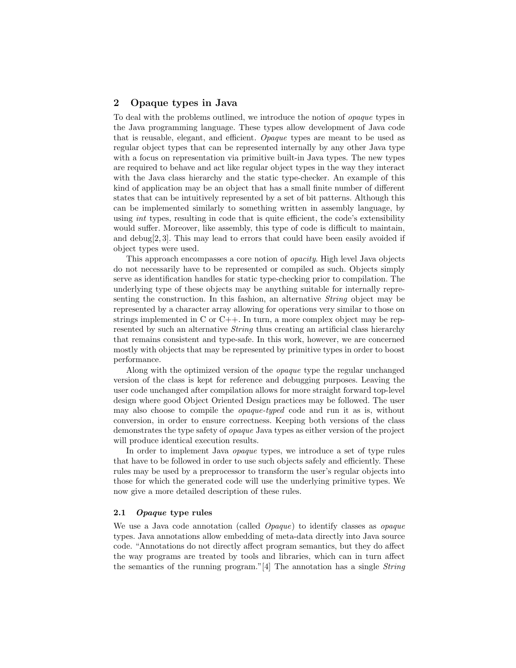## 2 Opaque types in Java

To deal with the problems outlined, we introduce the notion of opaque types in the Java programming language. These types allow development of Java code that is reusable, elegant, and efficient. Opaque types are meant to be used as regular object types that can be represented internally by any other Java type with a focus on representation via primitive built-in Java types. The new types are required to behave and act like regular object types in the way they interact with the Java class hierarchy and the static type-checker. An example of this kind of application may be an object that has a small finite number of different states that can be intuitively represented by a set of bit patterns. Although this can be implemented similarly to something written in assembly language, by using *int* types, resulting in code that is quite efficient, the code's extensibility would suffer. Moreover, like assembly, this type of code is difficult to maintain, and debug $[2, 3]$ . This may lead to errors that could have been easily avoided if object types were used.

This approach encompasses a core notion of opacity. High level Java objects do not necessarily have to be represented or compiled as such. Objects simply serve as identification handles for static type-checking prior to compilation. The underlying type of these objects may be anything suitable for internally representing the construction. In this fashion, an alternative *String* object may be represented by a character array allowing for operations very similar to those on strings implemented in C or C++. In turn, a more complex object may be represented by such an alternative *String* thus creating an artificial class hierarchy that remains consistent and type-safe. In this work, however, we are concerned mostly with objects that may be represented by primitive types in order to boost performance.

Along with the optimized version of the opaque type the regular unchanged version of the class is kept for reference and debugging purposes. Leaving the user code unchanged after compilation allows for more straight forward top-level design where good Object Oriented Design practices may be followed. The user may also choose to compile the opaque-typed code and run it as is, without conversion, in order to ensure correctness. Keeping both versions of the class demonstrates the type safety of opaque Java types as either version of the project will produce identical execution results.

In order to implement Java opaque types, we introduce a set of type rules that have to be followed in order to use such objects safely and efficiently. These rules may be used by a preprocessor to transform the user's regular objects into those for which the generated code will use the underlying primitive types. We now give a more detailed description of these rules.

### 2.1 Opaque type rules

We use a Java code annotation (called *Opaque*) to identify classes as *opaque* types. Java annotations allow embedding of meta-data directly into Java source code. "Annotations do not directly affect program semantics, but they do affect the way programs are treated by tools and libraries, which can in turn affect the semantics of the running program."[4] The annotation has a single String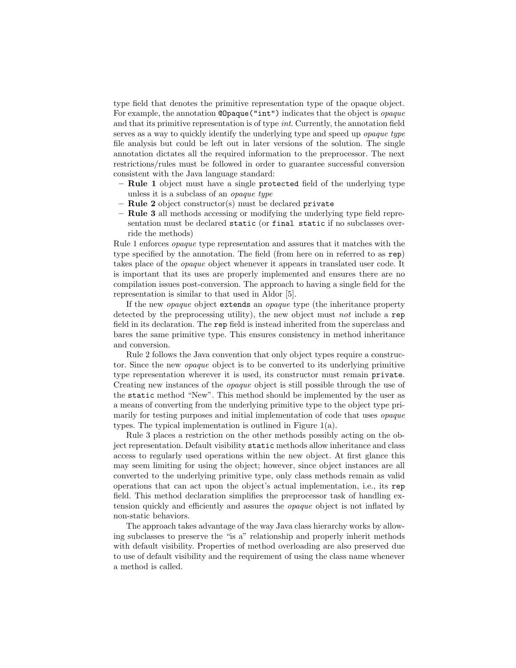type field that denotes the primitive representation type of the opaque object. For example, the annotation @Opaque("int") indicates that the object is opaque and that its primitive representation is of type int. Currently, the annotation field serves as a way to quickly identify the underlying type and speed up opaque type file analysis but could be left out in later versions of the solution. The single annotation dictates all the required information to the preprocessor. The next restrictions/rules must be followed in order to guarantee successful conversion consistent with the Java language standard:

- Rule 1 object must have a single protected field of the underlying type unless it is a subclass of an opaque type
- **Rule 2** object constructor(s) must be declared private
- Rule 3 all methods accessing or modifying the underlying type field representation must be declared static (or final static if no subclasses override the methods)

Rule 1 enforces opaque type representation and assures that it matches with the type specified by the annotation. The field (from here on in referred to as rep) takes place of the opaque object whenever it appears in translated user code. It is important that its uses are properly implemented and ensures there are no compilation issues post-conversion. The approach to having a single field for the representation is similar to that used in Aldor [5].

If the new opaque object extends an opaque type (the inheritance property detected by the preprocessing utility), the new object must not include a rep field in its declaration. The rep field is instead inherited from the superclass and bares the same primitive type. This ensures consistency in method inheritance and conversion.

Rule 2 follows the Java convention that only object types require a constructor. Since the new opaque object is to be converted to its underlying primitive type representation wherever it is used, its constructor must remain private. Creating new instances of the opaque object is still possible through the use of the static method "New". This method should be implemented by the user as a means of converting from the underlying primitive type to the object type primarily for testing purposes and initial implementation of code that uses opaque types. The typical implementation is outlined in Figure 1(a).

Rule 3 places a restriction on the other methods possibly acting on the object representation. Default visibility static methods allow inheritance and class access to regularly used operations within the new object. At first glance this may seem limiting for using the object; however, since object instances are all converted to the underlying primitive type, only class methods remain as valid operations that can act upon the object's actual implementation, i.e., its rep field. This method declaration simplifies the preprocessor task of handling extension quickly and efficiently and assures the opaque object is not inflated by non-static behaviors.

The approach takes advantage of the way Java class hierarchy works by allowing subclasses to preserve the "is a" relationship and properly inherit methods with default visibility. Properties of method overloading are also preserved due to use of default visibility and the requirement of using the class name whenever a method is called.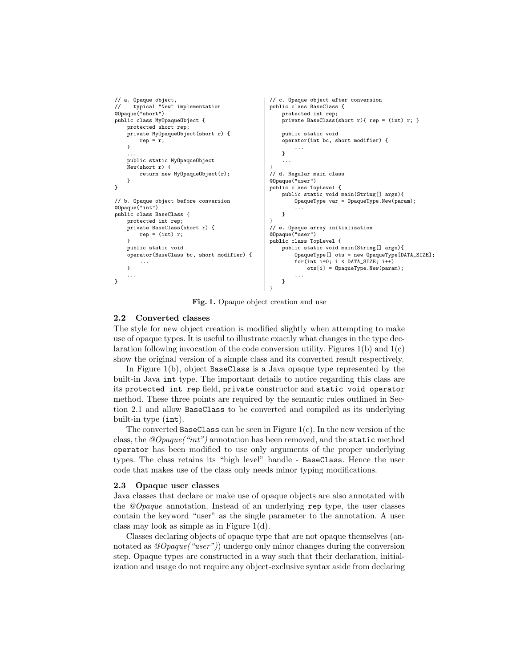```
// a. Opaque object,
    typical "New" implementation
@Opaque("short")
public class MyOpaqueObject {
   protected short rep;
    private MyOpaqueObject(short r) {
       rep = r;}
    ...
    public static MyOpaqueObject
    New(short r) {
        return new MyOpaqueObject(r);
    }
}
// b. Opaque object before conversion
@Opaque("int")
public class BaseClass {
   protected int rep;
    private BaseClass(short r) {
        rep = (int) r;}
    public static void
    operator(BaseClass bc, short modifier) {
        ...
    }
    ...
}
                                                   // c. Opaque object after conversion
                                                   public class BaseClass {
                                                      protected int rep;
                                                       private BaseClass(short r){ rep = (int) r; }
                                                       public static void
                                                       operator(int bc, short modifier) {
                                                           ...
                                                       }
                                                   }
                                                   // d. Regular main class
                                                   @Opaque("user")
                                                   public class TopLevel {
                                                       public static void main(String[] args){
                                                           OpaqueType var = OpaqueType.New(param);
                                                            ...
                                                       }
                                                   }
                                                   // e. Opaque array initialization
                                                   @Opaque("user")
                                                   public class TopLevel {
                                                       public static void main(String[] args){
                                                           OpaqueType[] ots = new OpaqueType[DATA_SIZE];
                                                           for(int i=0; i < \text{DATA\_SIZE}; i++)ots[i] = OpaqueType.New(param);
                                                            ...
                                                       }
                                                   }
```
Fig. 1. Opaque object creation and use

#### 2.2 Converted classes

The style for new object creation is modified slightly when attempting to make use of opaque types. It is useful to illustrate exactly what changes in the type declaration following invocation of the code conversion utility. Figures  $1(b)$  and  $1(c)$ show the original version of a simple class and its converted result respectively.

In Figure 1(b), object BaseClass is a Java opaque type represented by the built-in Java int type. The important details to notice regarding this class are its protected int rep field, private constructor and static void operator method. These three points are required by the semantic rules outlined in Section 2.1 and allow BaseClass to be converted and compiled as its underlying built-in type (int).

The converted BaseClass can be seen in Figure 1(c). In the new version of the class, the  $@Opaque('int")$  annotation has been removed, and the static method operator has been modified to use only arguments of the proper underlying types. The class retains its "high level" handle - BaseClass. Hence the user code that makes use of the class only needs minor typing modifications.

#### 2.3 Opaque user classes

Java classes that declare or make use of opaque objects are also annotated with the @Opaque annotation. Instead of an underlying rep type, the user classes contain the keyword "user" as the single parameter to the annotation. A user class may look as simple as in Figure 1(d).

Classes declaring objects of opaque type that are not opaque themselves (annotated as  $\mathcal{Q}Opaque('user'))$  undergo only minor changes during the conversion step. Opaque types are constructed in a way such that their declaration, initialization and usage do not require any object-exclusive syntax aside from declaring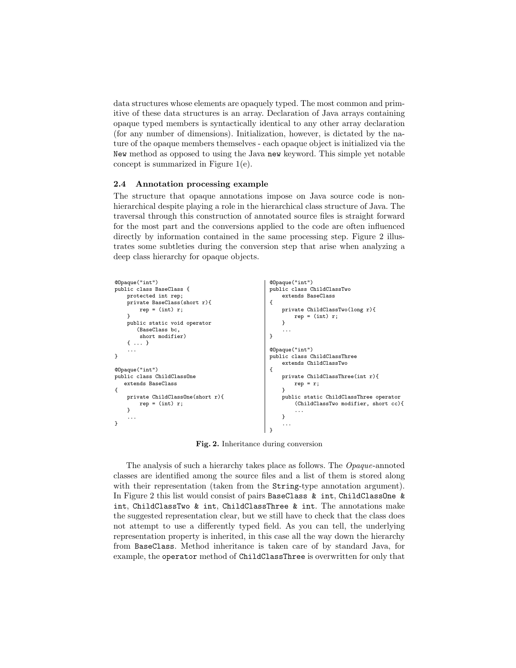data structures whose elements are opaquely typed. The most common and primitive of these data structures is an array. Declaration of Java arrays containing opaque typed members is syntactically identical to any other array declaration (for any number of dimensions). Initialization, however, is dictated by the nature of the opaque members themselves - each opaque object is initialized via the New method as opposed to using the Java new keyword. This simple yet notable concept is summarized in Figure 1(e).

#### 2.4 Annotation processing example

The structure that opaque annotations impose on Java source code is nonhierarchical despite playing a role in the hierarchical class structure of Java. The traversal through this construction of annotated source files is straight forward for the most part and the conversions applied to the code are often influenced directly by information contained in the same processing step. Figure 2 illustrates some subtleties during the conversion step that arise when analyzing a deep class hierarchy for opaque objects.

| @Opaque("int")                  | @Opaque("int")                         |  |  |  |
|---------------------------------|----------------------------------------|--|--|--|
| public class BaseClass {        | public class ChildClassTwo             |  |  |  |
| protected int rep;              | extends BaseClass                      |  |  |  |
| private BaseClass(short r){     | €                                      |  |  |  |
| $rep = (int) r;$                | private ChildClassTwo(long r){         |  |  |  |
| ł                               | $rep = (int) r;$                       |  |  |  |
| public static void operator     | }                                      |  |  |  |
| (BaseClass bc,                  | .                                      |  |  |  |
| short modifier)                 | }                                      |  |  |  |
| $\{ \ldots \}$                  |                                        |  |  |  |
| .                               | COpaque ("int")                        |  |  |  |
|                                 | public class ChildClassThree           |  |  |  |
|                                 | extends ChildClassTwo                  |  |  |  |
| COpaque ("int")                 | €                                      |  |  |  |
| public class ChildClassOne      | private ChildClassThree(int r){        |  |  |  |
| extends BaseClass               | $rep = r;$                             |  |  |  |
| ſ                               | ł                                      |  |  |  |
| private ChildClassOne(short r){ | public static ChildClassThree operator |  |  |  |
| $rep = (int) r;$                | (ChildClassTwo modifier, short cc){    |  |  |  |
| ጉ                               | .                                      |  |  |  |
| .                               | ł                                      |  |  |  |
|                                 | .                                      |  |  |  |
|                                 |                                        |  |  |  |
|                                 |                                        |  |  |  |

Fig. 2. Inheritance during conversion

The analysis of such a hierarchy takes place as follows. The Opaque-annoted classes are identified among the source files and a list of them is stored along with their representation (taken from the String-type annotation argument). In Figure 2 this list would consist of pairs BaseClass & int, ChildClassOne & int, ChildClassTwo & int, ChildClassThree & int. The annotations make the suggested representation clear, but we still have to check that the class does not attempt to use a differently typed field. As you can tell, the underlying representation property is inherited, in this case all the way down the hierarchy from BaseClass. Method inheritance is taken care of by standard Java, for example, the operator method of ChildClassThree is overwritten for only that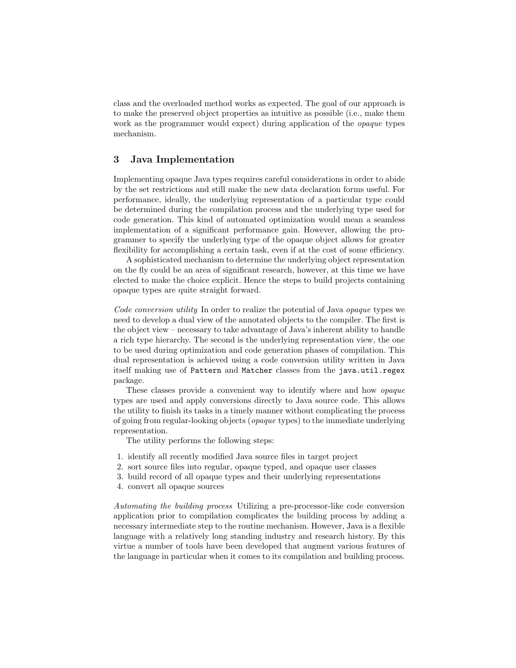class and the overloaded method works as expected. The goal of our approach is to make the preserved object properties as intuitive as possible (i.e., make them work as the programmer would expect) during application of the *opaque* types mechanism.

## 3 Java Implementation

Implementing opaque Java types requires careful considerations in order to abide by the set restrictions and still make the new data declaration forms useful. For performance, ideally, the underlying representation of a particular type could be determined during the compilation process and the underlying type used for code generation. This kind of automated optimization would mean a seamless implementation of a significant performance gain. However, allowing the programmer to specify the underlying type of the opaque object allows for greater flexibility for accomplishing a certain task, even if at the cost of some efficiency.

A sophisticated mechanism to determine the underlying object representation on the fly could be an area of significant research, however, at this time we have elected to make the choice explicit. Hence the steps to build projects containing opaque types are quite straight forward.

Code conversion utility In order to realize the potential of Java opaque types we need to develop a dual view of the annotated objects to the compiler. The first is the object view – necessary to take advantage of Java's inherent ability to handle a rich type hierarchy. The second is the underlying representation view, the one to be used during optimization and code generation phases of compilation. This dual representation is achieved using a code conversion utility written in Java itself making use of Pattern and Matcher classes from the java.util.regex package.

These classes provide a convenient way to identify where and how opaque types are used and apply conversions directly to Java source code. This allows the utility to finish its tasks in a timely manner without complicating the process of going from regular-looking objects (opaque types) to the immediate underlying representation.

The utility performs the following steps:

- 1. identify all recently modified Java source files in target project
- 2. sort source files into regular, opaque typed, and opaque user classes
- 3. build record of all opaque types and their underlying representations
- 4. convert all opaque sources

Automating the building process Utilizing a pre-processor-like code conversion application prior to compilation complicates the building process by adding a necessary intermediate step to the routine mechanism. However, Java is a flexible language with a relatively long standing industry and research history. By this virtue a number of tools have been developed that augment various features of the language in particular when it comes to its compilation and building process.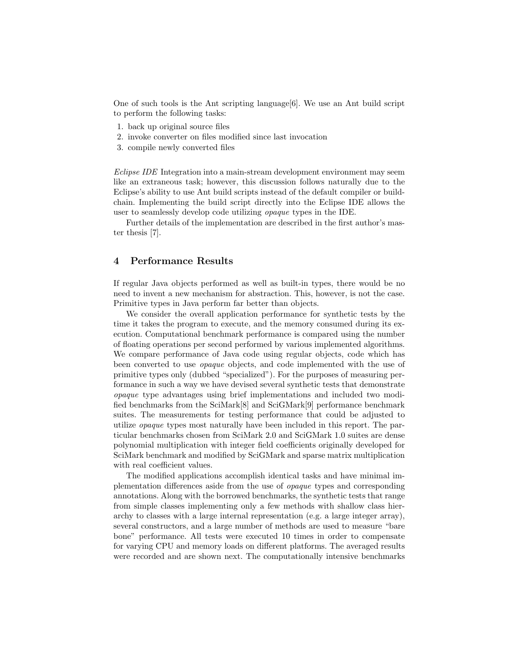One of such tools is the Ant scripting language $[6]$ . We use an Ant build script to perform the following tasks:

- 1. back up original source files
- 2. invoke converter on files modified since last invocation
- 3. compile newly converted files

Eclipse IDE Integration into a main-stream development environment may seem like an extraneous task; however, this discussion follows naturally due to the Eclipse's ability to use Ant build scripts instead of the default compiler or buildchain. Implementing the build script directly into the Eclipse IDE allows the user to seamlessly develop code utilizing opaque types in the IDE.

Further details of the implementation are described in the first author's master thesis [7].

## 4 Performance Results

If regular Java objects performed as well as built-in types, there would be no need to invent a new mechanism for abstraction. This, however, is not the case. Primitive types in Java perform far better than objects.

We consider the overall application performance for synthetic tests by the time it takes the program to execute, and the memory consumed during its execution. Computational benchmark performance is compared using the number of floating operations per second performed by various implemented algorithms. We compare performance of Java code using regular objects, code which has been converted to use opaque objects, and code implemented with the use of primitive types only (dubbed "specialized"). For the purposes of measuring performance in such a way we have devised several synthetic tests that demonstrate opaque type advantages using brief implementations and included two modified benchmarks from the SciMark[8] and SciGMark[9] performance benchmark suites. The measurements for testing performance that could be adjusted to utilize opaque types most naturally have been included in this report. The particular benchmarks chosen from SciMark 2.0 and SciGMark 1.0 suites are dense polynomial multiplication with integer field coefficients originally developed for SciMark benchmark and modified by SciGMark and sparse matrix multiplication with real coefficient values.

The modified applications accomplish identical tasks and have minimal implementation differences aside from the use of opaque types and corresponding annotations. Along with the borrowed benchmarks, the synthetic tests that range from simple classes implementing only a few methods with shallow class hierarchy to classes with a large internal representation (e.g. a large integer array), several constructors, and a large number of methods are used to measure "bare bone" performance. All tests were executed 10 times in order to compensate for varying CPU and memory loads on different platforms. The averaged results were recorded and are shown next. The computationally intensive benchmarks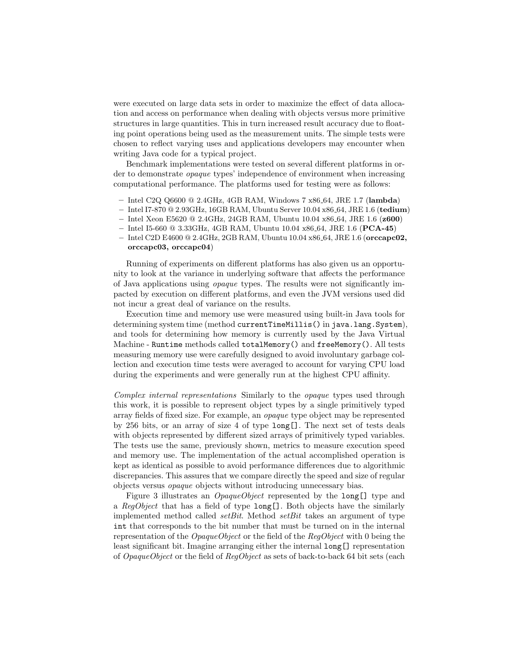were executed on large data sets in order to maximize the effect of data allocation and access on performance when dealing with objects versus more primitive structures in large quantities. This in turn increased result accuracy due to floating point operations being used as the measurement units. The simple tests were chosen to reflect varying uses and applications developers may encounter when writing Java code for a typical project.

Benchmark implementations were tested on several different platforms in order to demonstrate opaque types' independence of environment when increasing computational performance. The platforms used for testing were as follows:

- $-$  Intel C2Q Q6600 @ 2.4GHz, 4GB RAM, Windows 7 x86.64, JRE 1.7 (lambda)
- Intel I7-870 @ 2.93GHz, 16GB RAM, Ubuntu Server 10.04 x86 64, JRE 1.6 (tedium)
- Intel Xeon E5620 @ 2.4GHz, 24GB RAM, Ubuntu 10.04 x86 64, JRE 1.6 (z600)
- $-$  Intel I5-660 @ 3.33GHz, 4GB RAM, Ubuntu 10.04 x86\_64, JRE 1.6 (PCA-45)
- $-$  Intel C2D E4600 @ 2.4GHz, 2GB RAM, Ubuntu 10.04 x86\_64, JRE 1.6 (orccapc02, orccapc03, orccapc04)

Running of experiments on different platforms has also given us an opportunity to look at the variance in underlying software that affects the performance of Java applications using opaque types. The results were not significantly impacted by execution on different platforms, and even the JVM versions used did not incur a great deal of variance on the results.

Execution time and memory use were measured using built-in Java tools for determining system time (method currentTimeMillis() in java.lang.System), and tools for determining how memory is currently used by the Java Virtual Machine - Runtime methods called totalMemory() and freeMemory(). All tests measuring memory use were carefully designed to avoid involuntary garbage collection and execution time tests were averaged to account for varying CPU load during the experiments and were generally run at the highest CPU affinity.

Complex internal representations Similarly to the opaque types used through this work, it is possible to represent object types by a single primitively typed array fields of fixed size. For example, an opaque type object may be represented by 256 bits, or an array of size 4 of type long[]. The next set of tests deals with objects represented by different sized arrays of primitively typed variables. The tests use the same, previously shown, metrics to measure execution speed and memory use. The implementation of the actual accomplished operation is kept as identical as possible to avoid performance differences due to algorithmic discrepancies. This assures that we compare directly the speed and size of regular objects versus opaque objects without introducing unnecessary bias.

Figure 3 illustrates an *OpaqueObject* represented by the long[] type and a RegObject that has a field of type long[]. Both objects have the similarly implemented method called *setBit*. Method *setBit* takes an argument of type int that corresponds to the bit number that must be turned on in the internal representation of the  $OpaqueObject$  or the field of the  $RegObject$  with 0 being the least significant bit. Imagine arranging either the internal long[] representation of OpaqueObject or the field of RegObject as sets of back-to-back 64 bit sets (each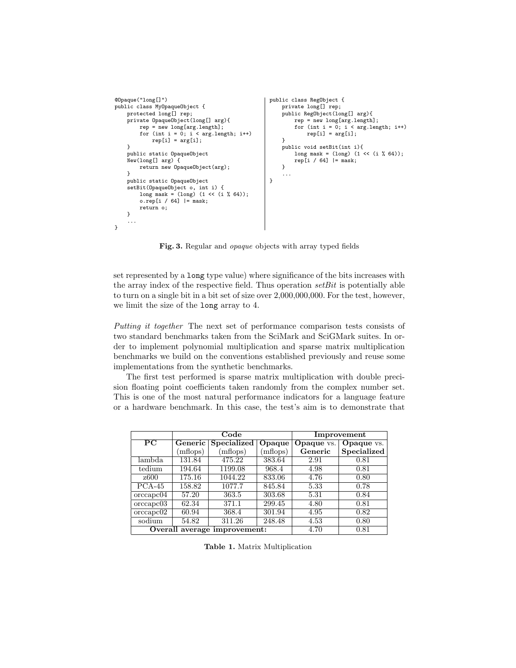```
@Opaque("long[]")
public class MyOpaqueObject {
    protected long[] rep;
    private OpaqueObject(long[] arg){
          rep = new long[arg.length];
for (int i = 0; i < arg.length; i++)
             rep[i] = arg[i];}
    public static OpaqueObject
    New(long[] arg) {
         return new OpaqueObject(arg);
    }
    public static OpaqueObject
    setBit(OpaqueObject o, int i) {
         long \, mask = (long) \, (1 \, \ll \, (i \, % 64));o.\overline{rep[i \ / 64]} | = \text{mask};return o;
    }
     ...
}
                                                         public class RegObject {
                                                             private long[] rep;
                                                              public RegObject(long[] arg){
                                                                  rep = new long[arg.length];
                                                                   for (int i = 0; i < arg.length; i++)
rep[i] = arg[i];
                                                              }
                                                              public void setBit(int i){
                                                                  long mask = (long) (1 \leq i \leq 64);
                                                                  rep[i / 64] |= mask;
                                                              }
                                                              ...
                                                         }
```
Fig. 3. Regular and opaque objects with array typed fields

set represented by a long type value) where significance of the bits increases with the array index of the respective field. Thus operation  $setBit$  is potentially able to turn on a single bit in a bit set of size over 2,000,000,000. For the test, however, we limit the size of the long array to 4.

Putting it together The next set of performance comparison tests consists of two standard benchmarks taken from the SciMark and SciGMark suites. In order to implement polynomial multiplication and sparse matrix multiplication benchmarks we build on the conventions established previously and reuse some implementations from the synthetic benchmarks.

The first test performed is sparse matrix multiplication with double precision floating point coefficients taken randomly from the complex number set. This is one of the most natural performance indicators for a language feature or a hardware benchmark. In this case, the test's aim is to demonstrate that

|                              | Code    |             |         | Improvement       |                   |
|------------------------------|---------|-------------|---------|-------------------|-------------------|
| $_{\rm PC}$                  | Generic | Specialized | Opaque  | <b>Opaque</b> vs. | <b>Opaque</b> vs. |
|                              | mflops) | mflops)     | mflops) | Generic           | Specialized       |
| lambda                       | 131.84  | 475.22      | 383.64  | 2.91              | 0.81              |
| tedium                       | 194.64  | 1199.08     | 968.4   | 4.98              | 0.81              |
| z600                         | 175.16  | 1044.22     | 833.06  | 4.76              | 0.80              |
| $PCA-45$                     | 158.82  | 1077.7      | 845.84  | 5.33              | 0.78              |
| orccapc04                    | 57.20   | 363.5       | 303.68  | 5.31              | 0.84              |
| orccapc03                    | 62.34   | 371.1       | 299.45  | 4.80              | 0.81              |
| orccapc02                    | 60.94   | 368.4       | 301.94  | 4.95              | 0.82              |
| sodium                       | 54.82   | 311.26      | 248.48  | 4.53              | 0.80              |
| Overall average improvement: |         |             | 4.70    | 0.81              |                   |

Table 1. Matrix Multiplication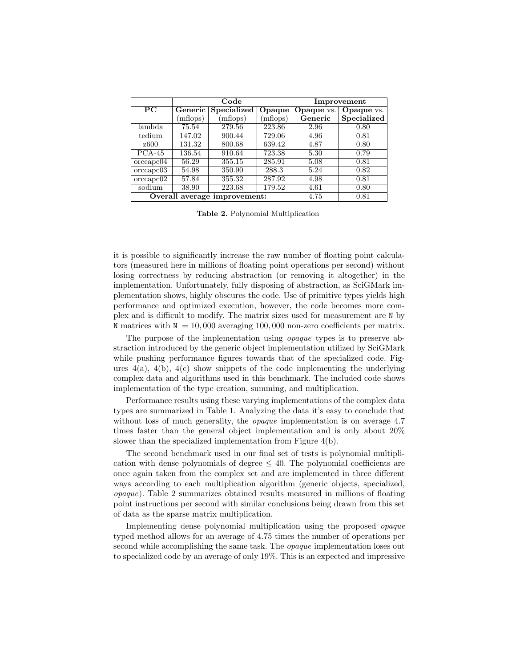|                              | Code    |             |          | Improvement       |                   |
|------------------------------|---------|-------------|----------|-------------------|-------------------|
| $_{PC}$                      | Generic | Specialized | Opaque   | <b>Opaque</b> vs. | <b>Opaque</b> vs. |
|                              | mflops) | mflops)     | (mflops) | Generic           | Specialized       |
| lambda                       | 75.54   | 279.56      | 223.86   | 2.96              | 0.80              |
| tedium                       | 147.02  | 900.44      | 729.06   | 4.96              | 0.81              |
| z600                         | 131.32  | 800.68      | 639.42   | 4.87              | 0.80              |
| $PCA-45$                     | 136.54  | 910.64      | 723.38   | 5.30              | 0.79              |
| orccapc04                    | 56.29   | 355.15      | 285.91   | 5.08              | 0.81              |
| orccapc03                    | 54.98   | 350.90      | 288.3    | 5.24              | 0.82              |
| orccapc02                    | 57.84   | 355.32      | 287.92   | 4.98              | 0.81              |
| sodium                       | 38.90   | 223.68      | 179.52   | 4.61              | 0.80              |
| Overall average improvement: |         |             | 4.75     | 0.81              |                   |

Table 2. Polynomial Multiplication

it is possible to significantly increase the raw number of floating point calculators (measured here in millions of floating point operations per second) without losing correctness by reducing abstraction (or removing it altogether) in the implementation. Unfortunately, fully disposing of abstraction, as SciGMark implementation shows, highly obscures the code. Use of primitive types yields high performance and optimized execution, however, the code becomes more complex and is difficult to modify. The matrix sizes used for measurement are N by N matrices with  $N = 10,000$  averaging 100,000 non-zero coefficients per matrix.

The purpose of the implementation using opaque types is to preserve abstraction introduced by the generic object implementation utilized by SciGMark while pushing performance figures towards that of the specialized code. Figures  $4(a)$ ,  $4(b)$ ,  $4(c)$  show snippets of the code implementing the underlying complex data and algorithms used in this benchmark. The included code shows implementation of the type creation, summing, and multiplication.

Performance results using these varying implementations of the complex data types are summarized in Table 1. Analyzing the data it's easy to conclude that without loss of much generality, the *opaque* implementation is on average 4.7 times faster than the general object implementation and is only about 20% slower than the specialized implementation from Figure 4(b).

The second benchmark used in our final set of tests is polynomial multiplication with dense polynomials of degree  $\leq 40$ . The polynomial coefficients are once again taken from the complex set and are implemented in three different ways according to each multiplication algorithm (generic objects, specialized, opaque). Table 2 summarizes obtained results measured in millions of floating point instructions per second with similar conclusions being drawn from this set of data as the sparse matrix multiplication.

Implementing dense polynomial multiplication using the proposed opaque typed method allows for an average of 4.75 times the number of operations per second while accomplishing the same task. The *opaque* implementation loses out to specialized code by an average of only 19%. This is an expected and impressive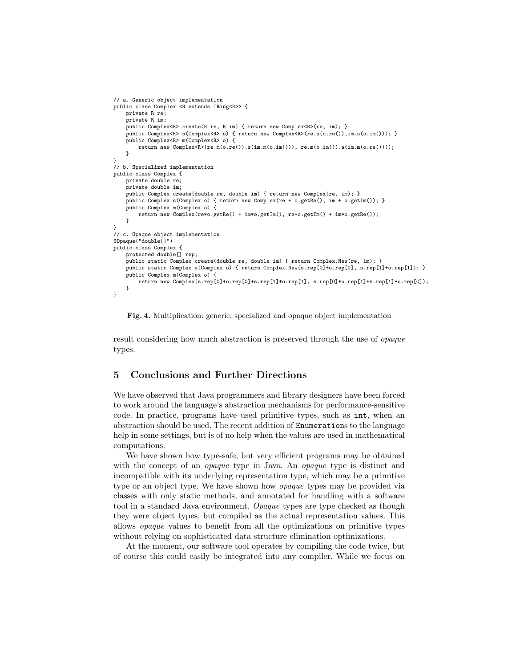```
// a. Generic object implementation
public class Complex <R extends IRing<R>> {
   private R re;
   private R im;
   public Complex<R> create(R re, R im) { return new Complex<R>(re, im); }
   public Complex<R> s(Complex<R> o) { return new Complex<R>(re.s(o.re()),im.s(o.im())); }
   public Complex<R> m(Complex<R> o) {
       return new Complex\mathsf{R}>(re.m(o.re()).s(im.m(o.im())), re.m(o.im()).a(im.m(o.re())));
   }
}
// b. Specialized implementation
public class Complex {
   private double re;
   private double im;
   public Complex create(double re, double im) { return new Complex(re, im); }
   public Complex s(Complex o) { return new Complex(re + o.getRe(), im + o.getIm()); }
   public Complex m(Complex o) {
       return new Complex(re*o.getRe() + im*o.getIm(), re*o.getIm() + im*o.getRe());
    }
}
// c. Opaque object implementation
@Opaque("double[]")
public class Complex {
   protected double[] rep;
   public static Complex create(double re, double im) { return Complex.New(re, im); }
   public static Complex s(Complex o) { return Complex.New(s.rep[0]+o.rep[0], s.rep[1]+o.rep[1]); }
   public Complex m(Complex o) {
       return new Complex(s.rep[0]*o.rep[0]+s.rep[1]*o.rep[1], s.rep[0]*o.rep[1]+s.rep[1]*o.rep[0]);
    }
}
```


result considering how much abstraction is preserved through the use of opaque types.

## 5 Conclusions and Further Directions

We have observed that Java programmers and library designers have been forced to work around the language's abstraction mechanisms for performance-sensitive code. In practice, programs have used primitive types, such as int, when an abstraction should be used. The recent addition of Enumerations to the language help in some settings, but is of no help when the values are used in mathematical computations.

We have shown how type-safe, but very efficient programs may be obtained with the concept of an *opaque* type in Java. An *opaque* type is distinct and incompatible with its underlying representation type, which may be a primitive type or an object type. We have shown how opaque types may be provided via classes with only static methods, and annotated for handling with a software tool in a standard Java environment. Opaque types are type checked as though they were object types, but compiled as the actual representation values. This allows opaque values to benefit from all the optimizations on primitive types without relying on sophisticated data structure elimination optimizations.

At the moment, our software tool operates by compiling the code twice, but of course this could easily be integrated into any compiler. While we focus on